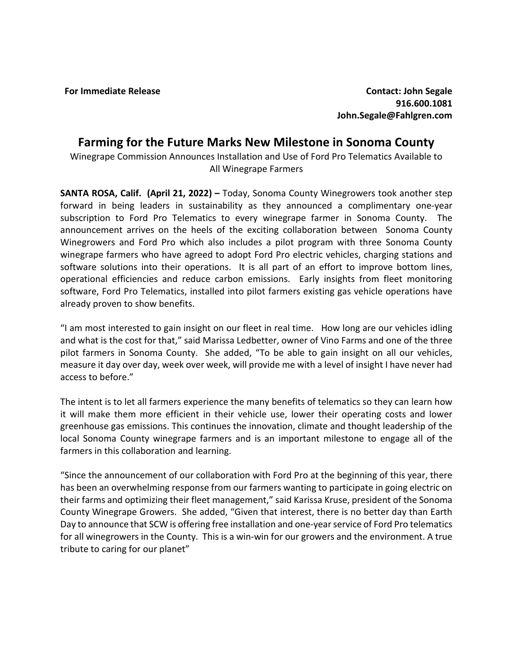**For Immediate Release Contact: John Segale 916.600.1081 John.Segale@Fahlgren.com**

## **Farming for the Future Marks New Milestone in Sonoma County**

Winegrape Commission Announces Installation and Use of Ford Pro Telematics Available to All Winegrape Farmers

**SANTA ROSA, Calif. (April 21, 2022) –** Today, Sonoma County Winegrowers took another step forward in being leaders in sustainability as they announced a complimentary one-year subscription to Ford Pro Telematics to every winegrape farmer in Sonoma County. The announcement arrives on the heels of the exciting collaboration between Sonoma County Winegrowers and Ford Pro which also includes a pilot program with three Sonoma County winegrape farmers who have agreed to adopt Ford Pro electric vehicles, charging stations and software solutions into their operations. It is all part of an effort to improve bottom lines, operational efficiencies and reduce carbon emissions. Early insights from fleet monitoring software, Ford Pro Telematics, installed into pilot farmers existing gas vehicle operations have already proven to show benefits.

"I am most interested to gain insight on our fleet in real time. How long are our vehicles idling and what is the cost for that," said Marissa Ledbetter, owner of Vino Farms and one of the three pilot farmers in Sonoma County. She added, "To be able to gain insight on all our vehicles, measure it day over day, week over week, will provide me with a level of insight I have never had access to before."

The intent is to let all farmers experience the many benefits of telematics so they can learn how it will make them more efficient in their vehicle use, lower their operating costs and lower greenhouse gas emissions. This continues the innovation, climate and thought leadership of the local Sonoma County winegrape farmers and is an important milestone to engage all of the farmers in this collaboration and learning.

"Since the announcement of our collaboration with Ford Pro at the beginning of this year, there has been an overwhelming response from our farmers wanting to participate in going electric on their farms and optimizing their fleet management," said Karissa Kruse, president of the Sonoma County Winegrape Growers. She added, "Given that interest, there is no better day than Earth Day to announce that SCW is offering free installation and one-year service of Ford Pro telematics for all winegrowers in the County. This is a win-win for our growers and the environment. A true tribute to caring for our planet"